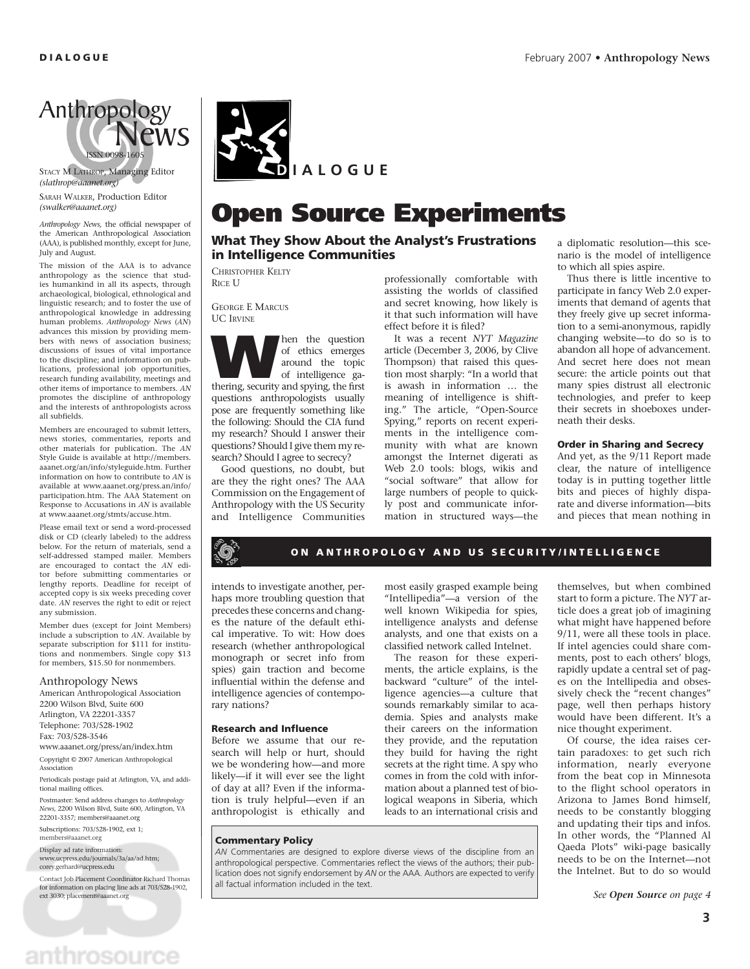

STACY M LATHROP, Managing Editor *(slathrop@aaanet.org)*

SARAH WALKER, Production Editor *(swalker@aaanet.org)*

*Anthropology News,* the official newspaper of the American Anthropological Association (AAA), is published monthly, except for June, July and August.

The mission of the AAA is to advance anthropology as the science that studies humankind in all its aspects, through archaeological, biological, ethnological and linguistic research; and to foster the use of anthropological knowledge in addressing human problems. Anthropology News (AN) advances this mission by providing members with news of association business; discussions of issues of vital importance to the discipline; and information on publications, professional job opportunities, research funding availability, meetings and other items of importance to members. *AN* promotes the discipline of anthropology and the interests of anthropologists across all subfields.

Members are encouraged to submit letters, news stories, commentaries, reports and other materials for publication. The *AN* Style Guide is available at http://members. aaanet.org/an/info/styleguide.htm. Further information on how to contribute to *AN* is available at www.aaanet.org/press.an/info/ participation.htm. The AAA Statement on Response to Accusations in *AN* is available at www.aaanet.org/stmts/accuse.htm.

Please email text or send a word-processed disk or CD (clearly labeled) to the address below. For the return of materials, send a self-addressed stamped mailer. Members are encouraged to contact the *AN* editor before submitting commentaries or lengthy reports. Deadline for receipt of accepted copy is six weeks preceding cover date. *AN* reserves the right to edit or reject any submission.

Member dues (except for Joint Members) include a subscription to *AN*. Available by separate subscription for \$111 for institutions and nonmembers. Single copy \$13 for members, \$15.50 for nonmembers.

#### Anthropology News

American Anthropological Association 2200 Wilson Blvd, Suite 600 Arlington, VA 22201-3357 Telephone: 703/528-1902 Fax: 703/528-3546

www.aaanet.org/press/an/index.htm Copyright © 2007 American Anthropological

Association Periodicals postage paid at Arlington, VA, and additional mailing offices.

Postmaster: Send address changes to *Anthropology News,* 2200 Wilson Blvd, Suite 600, Arlington, VA 22201-3357; members@aaanet.org

Subscriptions: 703/528-1902, ext 1; members@aaanet.org

Display ad rate information: www.ucpress.edu/journals/3a/aa/ad.htm; corey.gerhard@ucpress.edu

Contact Job Placement Coordinator Richard Thomas for information on placing line ads at 703/528-1902, ext 3030; placement@aaanet.org



# **Open Source Experiments**

**What They Show About the Analyst's Frustrations in Intelligence Communities**

CHRISTOPHER KELTY RICE U

GEORGE E MARCUS UC IRVINE

**W**hen the question thering, security and spying, the fi rst of ethics emerges around the topic of intelligence gaquestions anthropologists usually pose are frequently something like the following: Should the CIA fund my research? Should I answer their questions? Should I give them my research? Should I agree to secrecy?

Good questions, no doubt, but are they the right ones? The AAA Commission on the Engagement of Anthropology with the US Security and Intelligence Communities

professionally comfortable with assisting the worlds of classified and secret knowing, how likely is it that such information will have effect before it is filed?

It was a recent *NYT Magazine* article (December 3, 2006, by Clive Thompson) that raised this question most sharply: "In a world that is awash in information … the meaning of intelligence is shifting." The article, "Open-Source Spying," reports on recent experiments in the intelligence community with what are known amongst the Internet digerati as Web 2.0 tools: blogs, wikis and "social software" that allow for large numbers of people to quickly post and communicate information in structured ways—the a diplomatic resolution—this scenario is the model of intelligence to which all spies aspire.

Thus there is little incentive to participate in fancy Web 2.0 experiments that demand of agents that they freely give up secret information to a semi-anonymous, rapidly changing website—to do so is to abandon all hope of advancement. And secret here does not mean secure: the article points out that many spies distrust all electronic technologies, and prefer to keep their secrets in shoeboxes underneath their desks.

### **Order in Sharing and Secrecy**

And yet, as the 9/11 Report made clear, the nature of intelligence today is in putting together little bits and pieces of highly disparate and diverse information—bits and pieces that mean nothing in

### **ON ANTHROPOLOGY AND US SECURITY/INTELLIGENCE**

most easily grasped example being "Intellipedia"—a version of the well known Wikipedia for spies, intelligence analysts and defense analysts, and one that exists on a classified network called Intelnet. The reason for these experiments, the article explains, is the backward "culture" of the intelligence agencies—a culture that sounds remarkably similar to academia. Spies and analysts make their careers on the information they provide, and the reputation they build for having the right secrets at the right time. A spy who comes in from the cold with information about a planned test of biological weapons in Siberia, which leads to an international crisis and

intends to investigate another, perhaps more troubling question that precedes these concerns and changes the nature of the default ethical imperative. To wit: How does research (whether anthropological monograph or secret info from spies) gain traction and become influential within the defense and intelligence agencies of contemporary nations?

### **Research and Influence**

Before we assume that our research will help or hurt, should we be wondering how—and more likely—if it will ever see the light of day at all? Even if the information is truly helpful—even if an anthropologist is ethically and

**Commentary Policy**

*AN* Commentaries are designed to explore diverse views of the discipline from an anthropological perspective. Commentaries reflect the views of the authors; their publication does not signify endorsement by *AN* or the AAA. Authors are expected to verify all factual information included in the text.

themselves, but when combined start to form a picture. The *NYT* article does a great job of imagining what might have happened before 9/11, were all these tools in place. If intel agencies could share comments, post to each others' blogs, rapidly update a central set of pages on the Intellipedia and obsessively check the "recent changes" page, well then perhaps history would have been different. It's a nice thought experiment.

Of course, the idea raises certain paradoxes: to get such rich information, nearly everyone from the beat cop in Minnesota to the flight school operators in Arizona to James Bond himself, needs to be constantly blogging and updating their tips and infos. In other words, the "Planned Al Qaeda Plots" wiki-page basically needs to be on the Internet—not the Intelnet. But to do so would

*See Open Source on page 4*

anthrosource